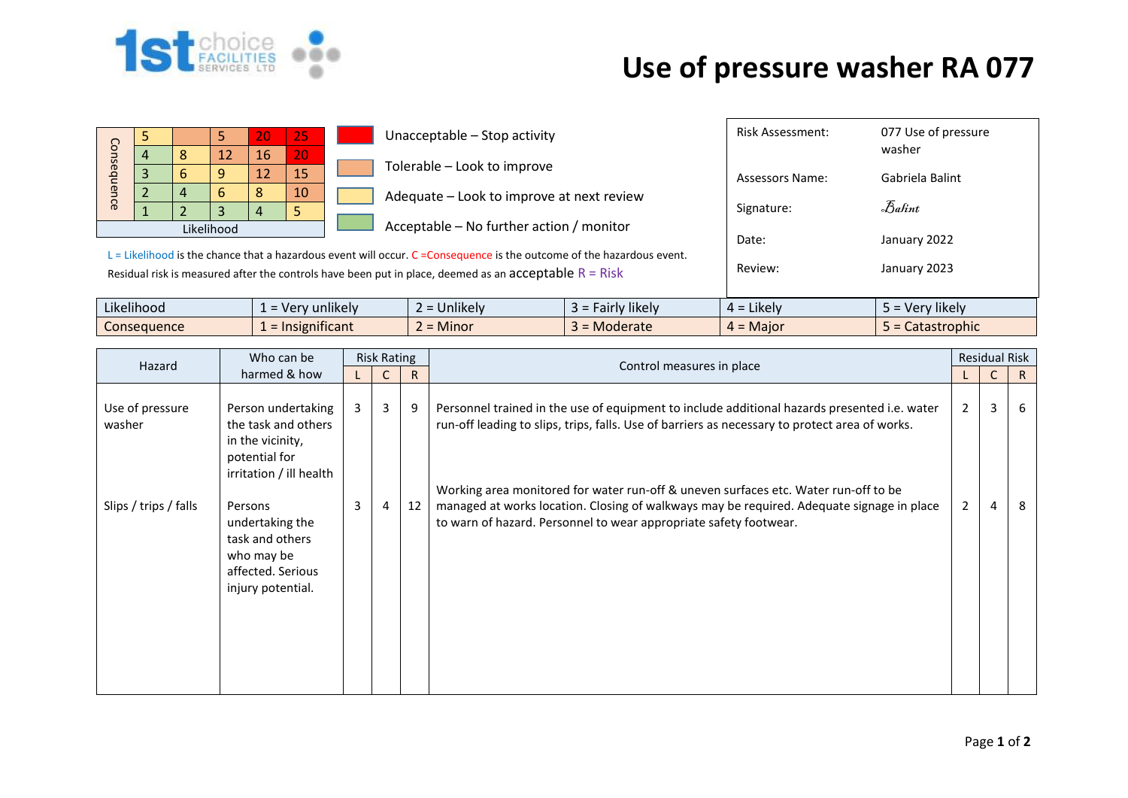

## **Use of pressure washer RA 077**

| Consequence | 4 | 8 | 5.<br>12   | 20<br>16 | 25<br>20                                                                                                                                                                                                                          |         | Unacceptable - Stop activity              |                     | <b>Risk Assessment:</b> | 077 Use of pressure<br>washer |  |  |  |
|-------------|---|---|------------|----------|-----------------------------------------------------------------------------------------------------------------------------------------------------------------------------------------------------------------------------------|---------|-------------------------------------------|---------------------|-------------------------|-------------------------------|--|--|--|
|             |   | 6 | 9          | 12       | 15                                                                                                                                                                                                                                |         | Tolerable - Look to improve               |                     | Assessors Name:         | Gabriela Balint               |  |  |  |
|             |   | 4 | 6          | 8        | 10                                                                                                                                                                                                                                |         | Adequate - Look to improve at next review |                     |                         |                               |  |  |  |
|             |   |   | 3          | 4        |                                                                                                                                                                                                                                   |         | Acceptable – No further action / monitor  |                     | Signature:              | Balint                        |  |  |  |
|             |   |   | Likelihood |          |                                                                                                                                                                                                                                   | Date:   | January 2022                              |                     |                         |                               |  |  |  |
|             |   |   |            |          | L = Likelihood is the chance that a hazardous event will occur. C = Consequence is the outcome of the hazardous event.<br>Residual risk is measured after the controls have been put in place, deemed as an acceptable $R = Risk$ | Review: | January 2023                              |                     |                         |                               |  |  |  |
| Likelihood  |   |   |            |          | $1 =$ Very unlikely                                                                                                                                                                                                               |         | $2 =$ Unlikely                            | $3$ = Fairly likely | $4 =$ Likely            | 5 = Very likely               |  |  |  |
| Consequence |   |   |            |          | $1 =$ Insignificant                                                                                                                                                                                                               |         | $2 =$ Minor                               | $3 =$ Moderate      | $4 =$ Major             | $5 =$ Catastrophic            |  |  |  |

| Hazard                    | Who can be                                                                                                  | <b>Risk Rating</b> |    |    |                                                                                                                                                                                                                                                       | <b>Residual Risk</b> |   |    |
|---------------------------|-------------------------------------------------------------------------------------------------------------|--------------------|----|----|-------------------------------------------------------------------------------------------------------------------------------------------------------------------------------------------------------------------------------------------------------|----------------------|---|----|
|                           | harmed & how                                                                                                |                    | R. |    | Control measures in place                                                                                                                                                                                                                             |                      | C | R  |
| Use of pressure<br>washer | Person undertaking<br>the task and others<br>in the vicinity,<br>potential for                              | 3 <sup>1</sup>     | 3  | 9  | Personnel trained in the use of equipment to include additional hazards presented i.e. water<br>run-off leading to slips, trips, falls. Use of barriers as necessary to protect area of works.                                                        | $\overline{2}$       | 3 | -6 |
| Slips / trips / falls     | irritation / ill health<br>Persons<br>undertaking the<br>task and others<br>who may be<br>affected. Serious | 3                  | 4  | 12 | Working area monitored for water run-off & uneven surfaces etc. Water run-off to be<br>managed at works location. Closing of walkways may be required. Adequate signage in place<br>to warn of hazard. Personnel to wear appropriate safety footwear. | $\overline{2}$       | 4 | -8 |
|                           | injury potential.                                                                                           |                    |    |    |                                                                                                                                                                                                                                                       |                      |   |    |